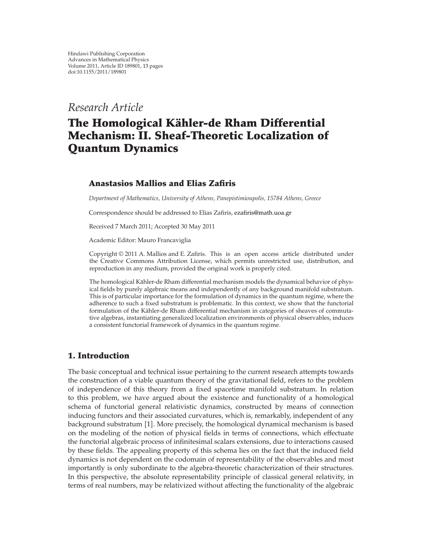*Research Article*

# **The Homological Kahler-de Rham Differential ¨ Mechanism: II. Sheaf-Theoretic Localization of Quantum Dynamics**

# **Anastasios Mallios and Elias Zafiris**

*Department of Mathematics, University of Athens, Panepistimioupolis, 15784 Athens, Greece*

Correspondence should be addressed to Elias Zafiris, ezafiris@math.uoa.gr

Received 7 March 2011; Accepted 30 May 2011

Academic Editor: Mauro Francaviglia

Copyright  $\odot$  2011 A. Mallios and E. Zafiris. This is an open access article distributed under the Creative Commons Attribution License, which permits unrestricted use, distribution, and reproduction in any medium, provided the original work is properly cited.

The homological Kähler-de Rham differential mechanism models the dynamical behavior of physical fields by purely algebraic means and independently of any background manifold substratum. This is of particular importance for the formulation of dynamics in the quantum regime, where the adherence to such a fixed substratum is problematic. In this context, we show that the functorial formulation of the Kähler-de Rham differential mechanism in categories of sheaves of commutative algebras, instantiating generalized localization environments of physical observables, induces a consistent functorial framework of dynamics in the quantum regime.

# **1. Introduction**

The basic conceptual and technical issue pertaining to the current research attempts towards the construction of a viable quantum theory of the gravitational field, refers to the problem of independence of this theory from a fixed spacetime manifold substratum. In relation to this problem, we have argued about the existence and functionality of a homological schema of functorial general relativistic dynamics, constructed by means of connection inducing functors and their associated curvatures, which is, remarkably, independent of any background substratum [1]. More precisely, the homological dynamical mechanism is based on the modeling of the notion of physical fields in terms of connections, which effectuate the functorial algebraic process of infinitesimal scalars extensions, due to interactions caused by these fields. The appealing property of this schema lies on the fact that the induced field dynamics is not dependent on the codomain of representability of the observables and most importantly is only subordinate to the algebra-theoretic characterization of their structures. In this perspective, the absolute representability principle of classical general relativity, in terms of real numbers, may be relativized without affecting the functionality of the algebraic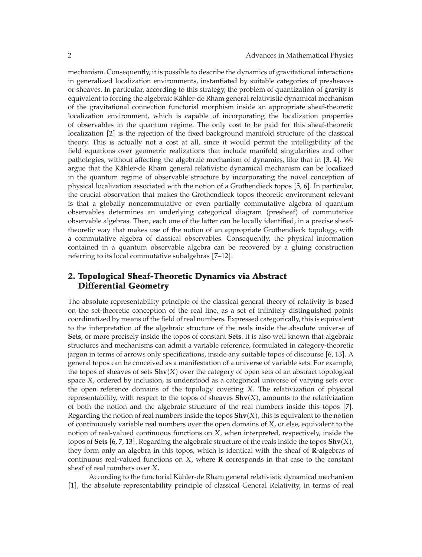mechanism. Consequently, it is possible to describe the dynamics of gravitational interactions in generalized localization environments, instantiated by suitable categories of presheaves or sheaves. In particular, according to this strategy, the problem of quantization of gravity is equivalent to forcing the algebraic Kahler-de Rham general relativistic dynamical mechanism ¨ of the gravitational connection functorial morphism inside an appropriate sheaf-theoretic localization environment, which is capable of incorporating the localization properties of observables in the quantum regime. The only cost to be paid for this sheaf-theoretic localization [2] is the rejection of the fixed background manifold structure of the classical theory. This is actually not a cost at all, since it would permit the intelligibility of the field equations over geometric realizations that include manifold singularities and other pathologies, without affecting the algebraic mechanism of dynamics, like that in  $[3, 4]$ . We argue that the Kähler-de Rham general relativistic dynamical mechanism can be localized in the quantum regime of observable structure by incorporating the novel conception of physical localization associated with the notion of a Grothendieck topos [5, 6]. In particular, the crucial observation that makes the Grothendieck topos theoretic environment relevant is that a globally noncommutative or even partially commutative algebra of quantum observables determines an underlying categorical diagram (presheaf) of commutative observable algebras. Then, each one of the latter can be locally identified, in a precise sheaftheoretic way that makes use of the notion of an appropriate Grothendieck topology, with a commutative algebra of classical observables. Consequently, the physical information contained in a quantum observable algebra can be recovered by a gluing construction referring to its local commutative subalgebras [7-12].

### **2. Topological Sheaf-Theoretic Dynamics via Abstract Differential Geometry**

The absolute representability principle of the classical general theory of relativity is based on the set-theoretic conception of the real line, as a set of infinitely distinguished points coordinatized by means of the field of real numbers. Expressed categorically, this is equivalent to the interpretation of the algebraic structure of the reals inside the absolute universe of **Sets**, or more precisely inside the topos of constant **Sets**. It is also well known that algebraic structures and mechanisms can admit a variable reference, formulated in category-theoretic jargon in terms of arrows only specifications, inside any suitable topos of discourse  $[6, 13]$ . A general topos can be conceived as a manifestation of a universe of variable sets. For example, the topos of sheaves of sets  $\textbf{Shv}(X)$  over the category of open sets of an abstract topological space *X*, ordered by inclusion, is understood as a categorical universe of varying sets over the open reference domains of the topology covering *X*. The relativization of physical representability, with respect to the topos of sheaves **Shv***X*, amounts to the relativization of both the notion and the algebraic structure of the real numbers inside this topos [7]. Regarding the notion of real numbers inside the topos **Shv***X*, this is equivalent to the notion of continuously variable real numbers over the open domains of *X*, or else, equivalent to the notion of real-valued continuous functions on *X*, when interpreted, respectively, inside the topos of **Sets** [6, 7, 13]. Regarding the algebraic structure of the reals inside the topos  $\text{Shv}(X)$ , they form only an algebra in this topos, which is identical with the sheaf of **R**-algebras of continuous real-valued functions on *X*, where **R** corresponds in that case to the constant sheaf of real numbers over *X*.

According to the functorial Kahler-de Rham general relativistic dynamical mechanism ¨ [1], the absolute representability principle of classical General Relativity, in terms of real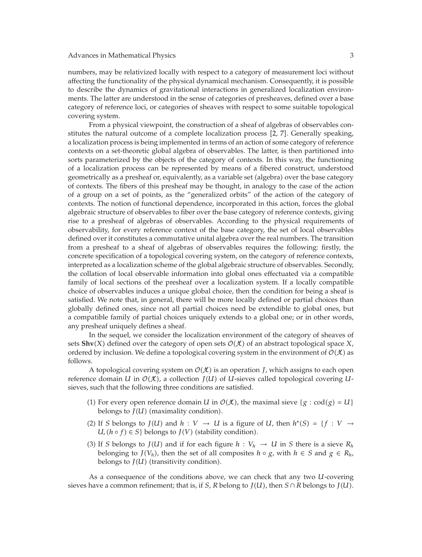numbers, may be relativized locally with respect to a category of measurement loci without affecting the functionality of the physical dynamical mechanism. Consequently, it is possible to describe the dynamics of gravitational interactions in generalized localization environments. The latter are understood in the sense of categories of presheaves, defined over a base category of reference loci, or categories of sheaves with respect to some suitable topological covering system.

From a physical viewpoint, the construction of a sheaf of algebras of observables constitutes the natural outcome of a complete localization process  $[2, 7]$ . Generally speaking, a localization process is being implemented in terms of an action of some category of reference contexts on a set-theoretic global algebra of observables. The latter, is then partitioned into sorts parameterized by the objects of the category of contexts. In this way, the functioning of a localization process can be represented by means of a fibered construct, understood geometrically as a presheaf or, equivalently, as a variable set (algebra) over the base category of contexts. The fibers of this presheaf may be thought, in analogy to the case of the action of a group on a set of points, as the "generalized orbits" of the action of the category of contexts. The notion of functional dependence, incorporated in this action, forces the global algebraic structure of observables to fiber over the base category of reference contexts, giving rise to a presheaf of algebras of observables. According to the physical requirements of observability, for every reference context of the base category, the set of local observables defined over it constitutes a commutative unital algebra over the real numbers. The transition from a presheaf to a sheaf of algebras of observables requires the following: firstly, the concrete specification of a topological covering system, on the category of reference contexts, interpreted as a localization scheme of the global algebraic structure of observables. Secondly, the collation of local observable information into global ones effectuated via a compatible family of local sections of the presheaf over a localization system. If a locally compatible choice of observables induces a unique global choice, then the condition for being a sheaf is satisfied. We note that, in general, there will be more locally defined or partial choices than globally defined ones, since not all partial choices need be extendible to global ones, but a compatible family of partial choices uniquely extends to a global one; or in other words, any presheaf uniquely defines a sheaf.

In the sequel, we consider the localization environment of the category of sheaves of sets  $\textbf{Shv}(X)$  defined over the category of open sets  $\mathcal{O}(\mathcal{K})$  of an abstract topological space *X*, ordered by inclusion. We define a topological covering system in the environment of  $O(X)$  as follows.

A topological covering system on  $O(X)$  is an operation *J*, which assigns to each open reference domain *U* in  $O(X)$ , a collection  $J(U)$  of *U*-sieves called topological covering *U*sieves, such that the following three conditions are satisfied.

- (1) For every open reference domain *U* in  $\mathcal{O}(\mathcal{K})$ , the maximal sieve {*g* : cod(*g*) = *U*} belongs to  $J(U)$  (maximality condition).
- (2) If *S* belongs to *J*(*U*) and *h* : *V*  $\rightarrow$  *U* is a figure of *U*, then  $h^*(S) = \{f : V \rightarrow$ *U*,  $(h ∘ f) ∈ S$ } belongs to  $J(V)$  (stability condition).
- (3) If *S* belongs to  $J(U)$  and if for each figure  $h: V_h \to U$  in *S* there is a sieve  $R_h$ belonging to  $J(V_h)$ , then the set of all composites  $h \circ g$ , with  $h \in S$  and  $g \in R_h$ , belongs to  $J(U)$  (transitivity condition).

As a consequence of the conditions above, we can check that any two *U*-covering sieves have a common refinement; that is, if *S*, *R* belong to  $J(U)$ , then  $S \cap R$  belongs to  $J(U)$ .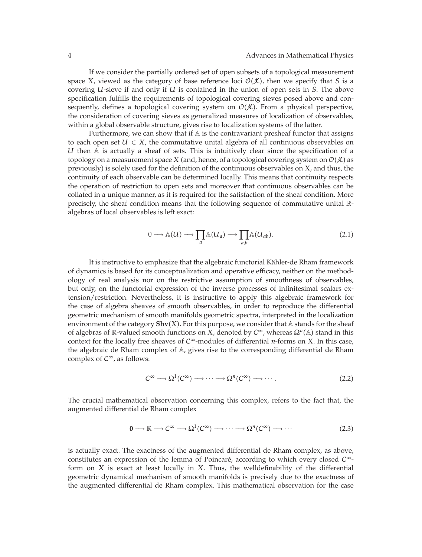If we consider the partially ordered set of open subsets of a topological measurement space *X*, viewed as the category of base reference loci  $O(X)$ , then we specify that *S* is a covering *U*-sieve if and only if *U* is contained in the union of open sets in *S*. The above specification fulfills the requirements of topological covering sieves posed above and consequently, defines a topological covering system on  $O(X)$ . From a physical perspective, the consideration of covering sieves as generalized measures of localization of observables, within a global observable structure, gives rise to localization systems of the latter.

Furthermore, we can show that if  $A$  is the contravariant presheaf functor that assigns to each open set  $U \subset X$ , the commutative unital algebra of all continuous observables on *U* then A is actually a sheaf of sets. This is intuitively clear since the specification of a topology on a measurement space *X* (and, hence, of a topological covering system on  $O(X)$  as previously is solely used for the definition of the continuous observables on *X*, and thus, the continuity of each observable can be determined locally. This means that continuity respects the operation of restriction to open sets and moreover that continuous observables can be collated in a unique manner, as it is required for the satisfaction of the sheaf condition. More precisely, the sheaf condition means that the following sequence of commutative unital Ralgebras of local observables is left exact:

$$
0 \longrightarrow \mathbb{A}(U) \longrightarrow \prod_{a} \mathbb{A}(U_{a}) \longrightarrow \prod_{a,b} \mathbb{A}(U_{ab}). \tag{2.1}
$$

It is instructive to emphasize that the algebraic functorial Kähler-de Rham framework of dynamics is based for its conceptualization and operative efficacy, neither on the methodology of real analysis nor on the restrictive assumption of smoothness of observables, but only, on the functorial expression of the inverse processes of infinitesimal scalars extension/restriction. Nevertheless, it is instructive to apply this algebraic framework for the case of algebra sheaves of smooth observables, in order to reproduce the differential geometric mechanism of smooth manifolds geometric spectra, interpreted in the localization environment of the category  $\textbf{Shv}(X)$ . For this purpose, we consider that  $\mathbb A$  stands for the sheaf of algebras of  $\mathbb{R}$ -valued smooth functions on *X*, denoted by  $C^{\infty}$ , whereas  $\Omega^{n}(\mathbb{A})$  stand in this context for the locally free sheaves of  $C^\infty$ -modules of differential *n*-forms on *X*. In this case, the algebraic de Rham complex of A, gives rise to the corresponding differential de Rham complex of  $C^{\infty}$ , as follows:

$$
\mathcal{C}^{\infty} \longrightarrow \Omega^{1}(\mathcal{C}^{\infty}) \longrightarrow \cdots \longrightarrow \Omega^{n}(\mathcal{C}^{\infty}) \longrightarrow \cdots.
$$
\n(2.2)

The crucial mathematical observation concerning this complex, refers to the fact that, the augmented differential de Rham complex

$$
0 \longrightarrow \mathbb{R} \longrightarrow \mathcal{C}^{\infty} \longrightarrow \Omega^{1}(\mathcal{C}^{\infty}) \longrightarrow \cdots \longrightarrow \Omega^{n}(\mathcal{C}^{\infty}) \longrightarrow \cdots
$$
 (2.3)

is actually exact. The exactness of the augmented differential de Rham complex, as above, constitutes an expression of the lemma of Poincaré, according to which every closed  $\mathcal{C}^{\infty}$ form on *X* is exact at least locally in *X*. Thus, the welldefinability of the differential geometric dynamical mechanism of smooth manifolds is precisely due to the exactness of the augmented differential de Rham complex. This mathematical observation for the case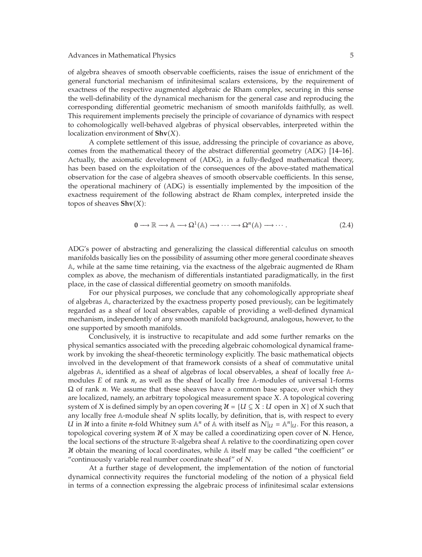of algebra sheaves of smooth observable coefficients, raises the issue of enrichment of the general functorial mechanism of infinitesimal scalars extensions, by the requirement of exactness of the respective augmented algebraic de Rham complex, securing in this sense the well-definability of the dynamical mechanism for the general case and reproducing the corresponding differential geometric mechanism of smooth manifolds faithfully, as well. This requirement implements precisely the principle of covariance of dynamics with respect to cohomologically well-behaved algebras of physical observables, interpreted within the localization environment of **Shv***X*.

A complete settlement of this issue, addressing the principle of covariance as above, comes from the mathematical theory of the abstract differential geometry (ADG) [14–16]. Actually, the axiomatic development of ADG, in a fully-fledged mathematical theory, has been based on the exploitation of the consequences of the above-stated mathematical observation for the case of algebra sheaves of smooth observable coefficients. In this sense, the operational machinery of ADG is essentially implemented by the imposition of the exactness requirement of the following abstract de Rham complex, interpreted inside the topos of sheaves **Shv***X*:

$$
0 \longrightarrow \mathbb{R} \longrightarrow \mathbb{A} \longrightarrow \Omega^1(\mathbb{A}) \longrightarrow \cdots \longrightarrow \Omega^n(\mathbb{A}) \longrightarrow \cdots
$$
 (2.4)

ADG's power of abstracting and generalizing the classical differential calculus on smooth manifolds basically lies on the possibility of assuming other more general coordinate sheaves A, while at the same time retaining, via the exactness of the algebraic augmented de Rham complex as above, the mechanism of differentials instantiated paradigmatically, in the first place, in the case of classical differential geometry on smooth manifolds.

For our physical purposes, we conclude that any cohomologically appropriate sheaf of algebras A, characterized by the exactness property posed previously, can be legitimately regarded as a sheaf of local observables, capable of providing a well-defined dynamical mechanism, independently of any smooth manifold background, analogous, however, to the one supported by smooth manifolds.

Conclusively, it is instructive to recapitulate and add some further remarks on the physical semantics associated with the preceding algebraic cohomological dynamical framework by invoking the sheaf-theoretic terminology explicitly. The basic mathematical objects involved in the development of that framework consists of a sheaf of commutative unital algebras A, identified as a sheaf of algebras of local observables, a sheaf of locally free Amodules *E* of rank *n*, as well as the sheaf of locally free A-modules of universal 1-forms  $\Omega$  of rank *n*. We assume that these sheaves have a common base space, over which they are localized, namely, an arbitrary topological measurement space *X*. A topological covering system of *X* is defined simply by an open covering  $\mathcal{U} = \{U \subseteq X : U \text{ open in } X\}$  of *X* such that any locally free A-module sheaf *N* splits locally, by definition, that is, with respect to every *U* in *U* into a finite *n*-fold Whitney sum  $\mathbb{A}^n$  of  $\mathbb{A}$  with itself as  $N|_{U} = \mathbb{A}^n|_{U}$ . For this reason, a topological covering system  $U$  of  $X$  may be called a coordinatizing open cover of  $N$ . Hence, the local sections of the structure R-algebra sheaf A relative to the coordinatizing open cover  $U$  obtain the meaning of local coordinates, while A itself may be called "the coefficient" or "continuously variable real number coordinate sheaf" of *N*.

At a further stage of development, the implementation of the notion of functorial dynamical connectivity requires the functorial modeling of the notion of a physical field in terms of a connection expressing the algebraic process of infinitesimal scalar extensions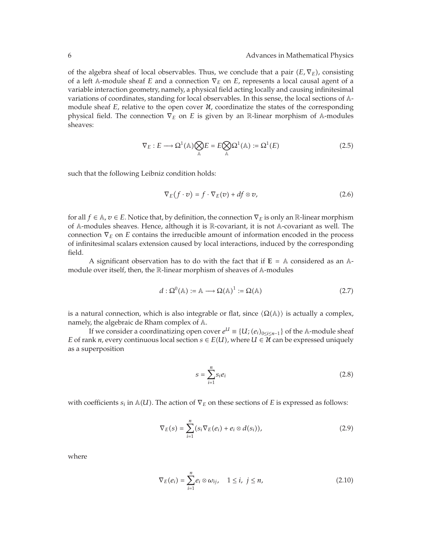of the algebra sheaf of local observables. Thus, we conclude that a pair  $(E, \nabla_E)$ , consisting of a left A-module sheaf *E* and a connection ∇*<sup>E</sup>* on *E*, represents a local causal agent of a variable interaction geometry, namely, a physical field acting locally and causing infinitesimal variations of coordinates, standing for local observables. In this sense, the local sections of Amodule sheaf  $E$ , relative to the open cover  $\mathcal{U}$ , coordinatize the states of the corresponding physical field. The connection ∇*<sup>E</sup>* on *E* is given by an R-linear morphism of A-modules sheaves:

$$
\nabla_E : E \longrightarrow \Omega^1(\mathbb{A}) \underset{\mathbb{A}}{\bigotimes} E = E \underset{\mathbb{A}}{\bigotimes} \Omega^1(\mathbb{A}) := \Omega^1(E) \tag{2.5}
$$

such that the following Leibniz condition holds:

$$
\nabla_E (f \cdot v) = f \cdot \nabla_E (v) + df \otimes v, \qquad (2.6)
$$

for all  $f \in \mathbb{A}$ ,  $v \in E$ . Notice that, by definition, the connection  $\nabla_E$  is only an  $\mathbb{R}$ -linear morphism of A-modules sheaves. Hence, although it is R-covariant, it is not A-covariant as well. The connection ∇*<sup>E</sup>* on *E* contains the irreducible amount of information encoded in the process of infinitesimal scalars extension caused by local interactions, induced by the corresponding field.

A significant observation has to do with the fact that if  $E = A$  considered as an  $A$ module over itself, then, the R-linear morphism of sheaves of A-modules

$$
d: \Omega^{0}(\mathbb{A}) := \mathbb{A} \longrightarrow \Omega(\mathbb{A})^{1} := \Omega(\mathbb{A})
$$
\n(2.7)

is a natural connection, which is also integrable or flat, since  $\langle \Omega(\mathbb{A}) \rangle$  is actually a complex, namely, the algebraic de Rham complex of A.

If we consider a coordinatizing open cover  $e^U \equiv \{U; (e_i)_{0 \le i \le n-1}\}$  of the A-module sheaf *E* of rank *n*, every continuous local section  $s \in E(U)$ , where  $U \in \mathcal{U}$  can be expressed uniquely as a superposition

$$
s = \sum_{i=1}^{n} s_i e_i \tag{2.8}
$$

with coefficients  $s_i$  in  $\mathbb{A}(U)$ . The action of  $\nabla_E$  on these sections of *E* is expressed as follows:

$$
\nabla_E(s) = \sum_{i=1}^n (s_i \nabla_E(e_i) + e_i \otimes d(s_i)),
$$
\n(2.9)

where

$$
\nabla_E(e_i) = \sum_{i=1}^n e_i \otimes \omega_{ij}, \quad 1 \le i, \ j \le n,
$$
\n(2.10)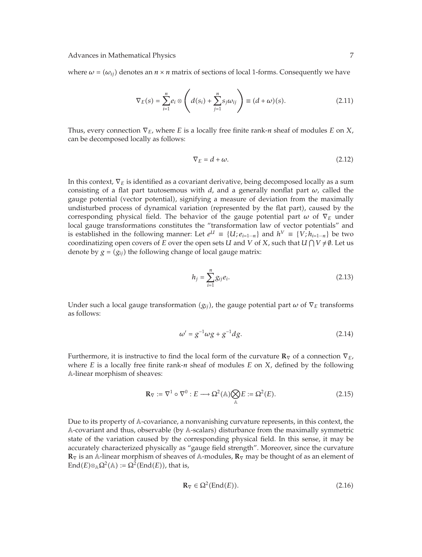where  $\omega = (\omega_{ij})$  denotes an  $n \times n$  matrix of sections of local 1-forms. Consequently we have

$$
\nabla_E(s) = \sum_{i=1}^n e_i \otimes \left( d(s_i) + \sum_{j=1}^n s_j \omega_{ij} \right) \equiv (d + \omega)(s).
$$
 (2.11)

Thus, every connection ∇*E*, where *E* is a locally free finite rank-*n* sheaf of modules *E* on *X*, can be decomposed locally as follows:

$$
\nabla_E = d + \omega. \tag{2.12}
$$

In this context, ∇*<sup>E</sup>* is identified as a covariant derivative, being decomposed locally as a sum consisting of a flat part tautosemous with *d*, and a generally nonflat part *ω*, called the gauge potential (vector potential), signifying a measure of deviation from the maximally undisturbed process of dynamical variation (represented by the flat part), caused by the corresponding physical field. The behavior of the gauge potential part  $\omega$  of  $\nabla_E$  under local gauge transformations constitutes the "transformation law of vector potentials" and is established in the following manner: Let  $e^U \equiv \{U; e_{i=1\cdots n}\}\$  and  $h^V \equiv \{V; h_{i=1\cdots n}\}\$  be two coordinatizing open covers of *E* over the open sets *U* and *V* of *X*, such that  $U \bigcap V \neq \emptyset$ . Let us denote by  $g = (g_{ij})$  the following change of local gauge matrix:

$$
h_j = \sum_{i=1}^{n} g_{ij} e_i.
$$
 (2.13)

Under such a local gauge transformation  $(g_{ij})$ , the gauge potential part  $\omega$  of  $\nabla_E$  transforms as follows:

$$
\omega' = g^{-1} \omega g + g^{-1} dg. \tag{2.14}
$$

Furthermore, it is instructive to find the local form of the curvature  $\mathbf{R}_{\nabla}$  of a connection  $\nabla_{E}$ , where *E* is a locally free finite rank-*n* sheaf of modules *E* on *X*, defined by the following A-linear morphism of sheaves:

$$
\mathbf{R}_{\nabla} := \nabla^1 \circ \nabla^0 : E \longrightarrow \Omega^2(\mathbb{A}) \underset{\mathbb{A}}{\bigotimes} E := \Omega^2(E). \tag{2.15}
$$

Due to its property of A-covariance, a nonvanishing curvature represents, in this context, the  $A$ -covariant and thus, observable (by  $A$ -scalars) disturbance from the maximally symmetric state of the variation caused by the corresponding physical field. In this sense, it may be accurately characterized physically as "gauge field strength". Moreover, since the curvature **R**<sup>∇</sup> is an A-linear morphism of sheaves of A-modules, **R**<sup>∇</sup> may be thought of as an element of End*(E)*⊗<sub>A</sub> $\Omega^2$ (A) :=  $\Omega^2$ (End*(E))*, that is,

$$
\mathbf{R}_{\nabla} \in \Omega^2(\text{End}(E)).\tag{2.16}
$$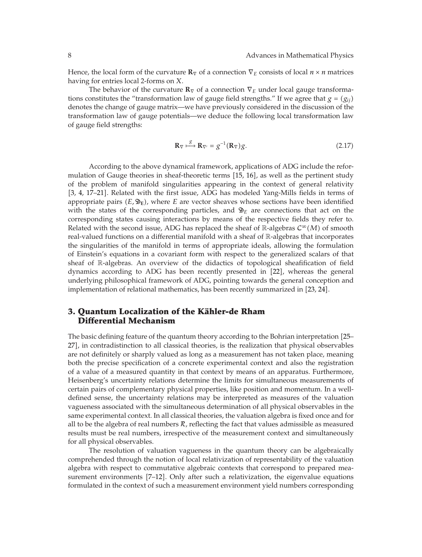Hence, the local form of the curvature  $\mathbf{R}_{\nabla}$  of a connection  $\nabla_E$  consists of local *n* × *n* matrices having for entries local 2-forms on *X*.

The behavior of the curvature  $\mathbf{R}_{\nabla}$  of a connection  $\nabla_E$  under local gauge transformations constitutes the "transformation law of gauge field strengths." If we agree that  $g = (g_{ij})$ denotes the change of gauge matrix—we have previously considered in the discussion of the transformation law of gauge potentials—we deduce the following local transformation law of gauge field strengths:

$$
\mathbf{R}_{\nabla} \stackrel{g}{\longmapsto} \mathbf{R}_{\nabla'} = g^{-1}(\mathbf{R}_{\nabla})g. \tag{2.17}
$$

According to the above dynamical framework, applications of ADG include the reformulation of Gauge theories in sheaf-theoretic terms [15, 16], as well as the pertinent study of the problem of manifold singularities appearing in the context of general relativity [3, 4, 17-21]. Related with the first issue, ADG has modeled Yang-Mills fields in terms of appropriate pairs  $(E, \mathcal{D}_E)$ , where *E* are vector sheaves whose sections have been identified with the states of the corresponding particles, and  $\mathcal{D}_E$  are connections that act on the corresponding states causing interactions by means of the respective fields they refer to. Related with the second issue, ADG has replaced the sheaf of  $\mathbb{R}$ -algebras  $C^{\infty}(M)$  of smooth real-valued functions on a differential manifold with a sheaf of R-algebras that incorporates the singularities of the manifold in terms of appropriate ideals, allowing the formulation of Einstein's equations in a covariant form with respect to the generalized scalars of that sheaf of R-algebras. An overview of the didactics of topological sheafification of field dynamics according to ADG has been recently presented in [22], whereas the general underlying philosophical framework of ADG, pointing towards the general conception and implementation of relational mathematics, has been recently summarized in [23, 24].

### **3. Quantum Localization of the Kahler-de Rham ¨ Differential Mechanism**

The basic defining feature of the quantum theory according to the Bohrian interpretation 25– 27, in contradistinction to all classical theories, is the realization that physical observables are not definitely or sharply valued as long as a measurement has not taken place, meaning both the precise specification of a concrete experimental context and also the registration of a value of a measured quantity in that context by means of an apparatus. Furthermore, Heisenberg's uncertainty relations determine the limits for simultaneous measurements of certain pairs of complementary physical properties, like position and momentum. In a welldefined sense, the uncertainty relations may be interpreted as measures of the valuation vagueness associated with the simultaneous determination of all physical observables in the same experimental context. In all classical theories, the valuation algebra is fixed once and for all to be the algebra of real numbers  $R$ , reflecting the fact that values admissible as measured results must be real numbers, irrespective of the measurement context and simultaneously for all physical observables.

The resolution of valuation vagueness in the quantum theory can be algebraically comprehended through the notion of local relativization of representability of the valuation algebra with respect to commutative algebraic contexts that correspond to prepared measurement environments [7–12]. Only after such a relativization, the eigenvalue equations formulated in the context of such a measurement environment yield numbers corresponding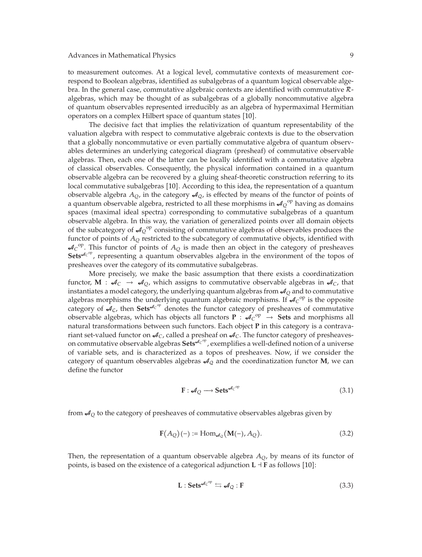to measurement outcomes. At a logical level, commutative contexts of measurement correspond to Boolean algebras, identified as subalgebras of a quantum logical observable algebra. In the general case, commutative algebraic contexts are identified with commutative Ralgebras, which may be thought of as subalgebras of a globally noncommutative algebra of quantum observables represented irreducibly as an algebra of hypermaximal Hermitian operators on a complex Hilbert space of quantum states [10].

The decisive fact that implies the relativization of quantum representability of the valuation algebra with respect to commutative algebraic contexts is due to the observation that a globally noncommutative or even partially commutative algebra of quantum observables determines an underlying categorical diagram (presheaf) of commutative observable algebras. Then, each one of the latter can be locally identified with a commutative algebra of classical observables. Consequently, the physical information contained in a quantum observable algebra can be recovered by a gluing sheaf-theoretic construction referring to its local commutative subalgebras [10]. According to this idea, the representation of a quantum observable algebra  $A_Q$ , in the category  $A_Q$ , is effected by means of the functor of points of a quantum observable algebra, restricted to all these morphisms in  $\mathcal{A}_O^{\text{op}}$  having as domains spaces (maximal ideal spectra) corresponding to commutative subalgebras of a quantum observable algebra. In this way, the variation of generalized points over all domain objects of the subcategory of  $\mathcal{A}_O^{\text{op}}$  consisting of commutative algebras of observables produces the functor of points of *AQ* restricted to the subcategory of commutative objects, identified with  $\mathcal{A}_{\mathcal{C}}^{\text{op}}$ . This functor of points of  $A_{\mathcal{Q}}$  is made then an object in the category of presheaves Sets<sup> $A_C^{op}$ </sup>, representing a quantum observables algebra in the environment of the topos of presheaves over the category of its commutative subalgebras.

More precisely, we make the basic assumption that there exists a coordinatization functor,  $\mathbf{M}$  :  $\mathcal{A}_C \rightarrow \mathcal{A}_Q$ , which assigns to commutative observable algebras in  $\mathcal{A}_C$ , that instantiates a model category, the underlying quantum algebras from  $\mathcal{A}_O$  and to commutative algebras morphisms the underlying quantum algebraic morphisms. If  $\mathcal{A}_C^{\text{op}}$  is the opposite category of  $A_C$ , then Sets<sup> $A_C^{\text{op}}$ </sup> denotes the functor category of presheaves of commutative observable algebras, which has objects all functors  $P : \mathcal{A}^{\text{op}}_{\mathcal{C}} \to$  Sets and morphisms all natural transformations between such functors. Each object **P** in this category is a contravariant set-valued functor on  $\mathcal{A}_C$ , called a presheaf on  $\mathcal{A}_C$ . The functor category of presheaveson commutative observable algebras Sets<sup> $\mathcal{A}^{C^{op}}$ , exemplifies a well-defined notion of a universe</sup> of variable sets, and is characterized as a topos of presheaves. Now, if we consider the category of quantum observables algebras  $\mathcal{A}_Q$  and the coordinatization functor **M**, we can define the functor

$$
\mathbf{F} : \mathcal{A}_{Q} \longrightarrow \mathbf{Sets}^{\mathcal{A}_{C}^{op}} \tag{3.1}
$$

from  $\mathcal{A}_Q$  to the category of presheaves of commutative observables algebras given by

$$
\mathbf{F}(A_Q)(-):=\text{Hom}_{\mathcal{A}_Q}(\mathbf{M}(-),A_Q). \tag{3.2}
$$

Then, the representation of a quantum observable algebra *AQ*, by means of its functor of points, is based on the existence of a categorical adjunction  $L \dashv F$  as follows [10]:

$$
\mathbf{L}: \mathbf{Sets}^{\mathcal{A}_{\mathcal{C}}^{\mathrm{op}}}\leftrightarrows \mathcal{A}_{Q}: \mathbf{F}
$$
\n(3.3)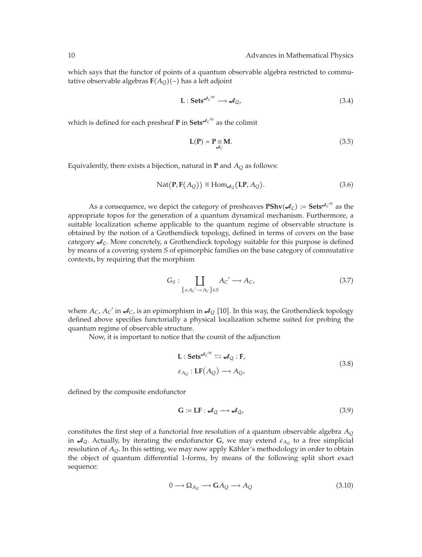which says that the functor of points of a quantum observable algebra restricted to commutative observable algebras **F***AQ*− has a left adjoint

$$
L:Sets^{\mathcal{A}_{\mathcal{C}}^{\mathrm{op}}}\longrightarrow\mathcal{A}_{Q},\tag{3.4}
$$

which is defined for each presheaf **P** in  $\textbf{Sets}^{\mathcal{A}c^\text{op}}$  as the colimit

$$
\mathbf{L}(\mathbf{P}) = \mathbf{P} \underset{\mathcal{A}_C}{\otimes} \mathbf{M}.\tag{3.5}
$$

Equivalently, there exists a bijection, natural in **P** and *AQ* as follows:

$$
Nat(P, F(AQ)) \cong Hom_{\mathcal{A}_Q}(LP, AQ).
$$
\n(3.6)

As a consequence, we depict the category of presheaves  $\text{PShv}(\mathcal{A}_{\mathcal{C}}) := \textbf{Sets}^{\mathcal{A}_{\mathcal{C}}^{op}}$  as the appropriate topos for the generation of a quantum dynamical mechanism. Furthermore, a suitable localization scheme applicable to the quantum regime of observable structure is obtained by the notion of a Grothendieck topology, defined in terms of covers on the base category  $\mathcal{A}_{\mathcal{C}}$ . More concretely, a Grothendieck topology suitable for this purpose is defined by means of a covering system *S* of epimorphic families on the base category of commutative contexts, by requiring that the morphism

$$
G_S: \coprod_{\{s:A_C' \to A_C\} \in S} A_C' \longrightarrow A_C,\tag{3.7}
$$

where  $A_C$ ,  $A_C'$  in  $\mathcal{A}_C$ , is an epimorphism in  $\mathcal{A}_Q$  [10]. In this way, the Grothendieck topology defined above specifies functorially a physical localization scheme suited for probing the quantum regime of observable structure.

Now, it is important to notice that the counit of the adjunction

$$
\mathbf{L}: \mathbf{Sets}^{\mathcal{A}_{\mathcal{C}}^{\mathrm{op}}}\leftrightarrows \mathcal{A}_{\mathcal{Q}}: \mathbf{F},
$$
  
\n
$$
\varepsilon_{A_{\mathcal{Q}}}:\mathbf{LF}(A_{\mathcal{Q}})\longrightarrow A_{\mathcal{Q}},
$$
\n(3.8)

defined by the composite endofunctor

$$
\mathbf{G} := \mathbf{LF} : \mathcal{A}_{Q} \longrightarrow \mathcal{A}_{Q}, \tag{3.9}
$$

constitutes the first step of a functorial free resolution of a quantum observable algebra *AQ* in  $\mathcal{A}_Q$ . Actually, by iterating the endofunctor **G**, we may extend  $\varepsilon_{A_Q}$  to a free simplicial resolution of  $A<sub>Q</sub>$ . In this setting, we may now apply Kähler's methodology in order to obtain the object of quantum differential 1-forms, by means of the following split short exact sequence:

$$
0 \longrightarrow \Omega_{A_Q} \longrightarrow \mathbf{G}A_Q \longrightarrow A_Q \tag{3.10}
$$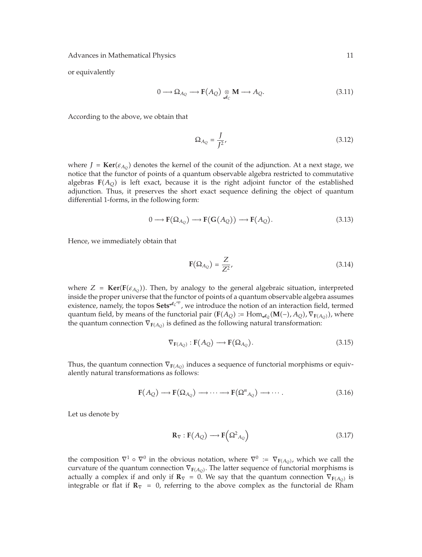Advances in Mathematical Physics 11 and 2012 11 and 2012 11 and 2012 11 and 2012 11 and 2012 11 and 2012 11 and 2012 11 and 2012 11 and 2012 11 and 2012 11 and 2012 11 and 2012 11 and 2012 11 and 2012 11 and 2012 11 and 20

or equivalently

$$
0 \longrightarrow \Omega_{A_Q} \longrightarrow \mathbf{F}(A_Q) \underset{\mathcal{A}_C}{\otimes} \mathbf{M} \longrightarrow A_Q. \tag{3.11}
$$

According to the above, we obtain that

$$
\Omega_{A_Q} = \frac{J}{J^2},\tag{3.12}
$$

where  $J = \text{Ker}(\varepsilon_{A_O})$  denotes the kernel of the counit of the adjunction. At a next stage, we notice that the functor of points of a quantum observable algebra restricted to commutative algebras  $F(A<sub>O</sub>)$  is left exact, because it is the right adjoint functor of the established adjunction. Thus, it preserves the short exact sequence defining the object of quantum differential 1-forms, in the following form:

$$
0 \longrightarrow F(\Omega_{A_Q}) \longrightarrow F(G(A_Q)) \longrightarrow F(A_Q). \tag{3.13}
$$

Hence, we immediately obtain that

$$
\mathbf{F}(\Omega_{A_Q}) = \frac{Z}{Z^2},\tag{3.14}
$$

where  $Z = \text{Ker}(F(\varepsilon_{A_0}))$ . Then, by analogy to the general algebraic situation, interpreted inside the proper universe that the functor of points of a quantum observable algebra assumes existence, namely, the topos Sets<sup>4c<sup>op</sup>, we introduce the notion of an interaction field, termed</sup> quantum field, by means of the functorial pair  $(\mathbf{F}(A_{Q}) := \text{Hom}_{\mathcal{A}_{Q}}(\mathbf{M}(-), A_{Q})$ ,  $\nabla_{\mathbf{F}(A_{Q})}$ , where the quantum connection  $\nabla_{\mathbf{F}(A_Q)}$  is defined as the following natural transformation:

$$
\nabla_{\mathbf{F}(A_Q)} : \mathbf{F}(A_Q) \longrightarrow \mathbf{F}(\Omega_{A_Q}). \tag{3.15}
$$

Thus, the quantum connection  $\nabla_{\mathbf{F}(A_O)}$  induces a sequence of functorial morphisms or equivalently natural transformations as follows:

$$
\mathbf{F}(A_Q) \longrightarrow \mathbf{F}(\Omega_{A_Q}) \longrightarrow \cdots \longrightarrow \mathbf{F}(\Omega^n_{A_Q}) \longrightarrow \cdots. \tag{3.16}
$$

Let us denote by

$$
\mathbf{R}_{\nabla} : \mathbf{F}(A_Q) \longrightarrow \mathbf{F}\left(\Omega^2_{A_Q}\right) \tag{3.17}
$$

the composition  $\nabla^1 \circ \nabla^0$  in the obvious notation, where  $\nabla^0 := \nabla_{\mathbf{F}(A_O)}$ , which we call the curvature of the quantum connection  $\nabla_{\mathbf{F}(A_Q)}$ . The latter sequence of functorial morphisms is actually a complex if and only if  $\mathbf{R}_{\nabla} = 0$ . We say that the quantum connection  $\nabla_{\mathbf{F}(A_O)}$  is integrable or flat if  $\mathbf{R}_{\nabla} = 0$ , referring to the above complex as the functorial de Rham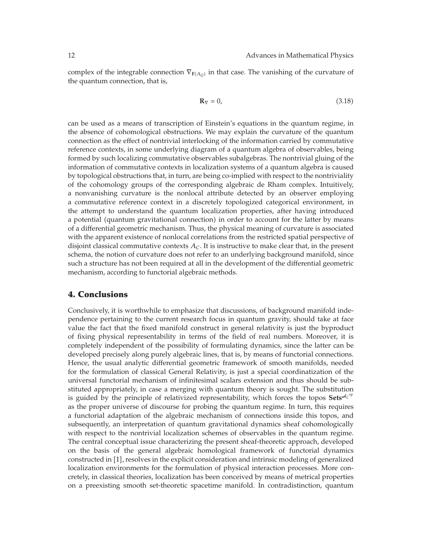complex of the integrable connection  $\nabla_{\mathbf{F}(A_Q)}$  in that case. The vanishing of the curvature of the quantum connection, that is,

$$
\mathbf{R}_{\nabla} = 0,\tag{3.18}
$$

can be used as a means of transcription of Einstein's equations in the quantum regime, in the absence of cohomological obstructions. We may explain the curvature of the quantum connection as the effect of nontrivial interlocking of the information carried by commutative reference contexts, in some underlying diagram of a quantum algebra of observables, being formed by such localizing commutative observables subalgebras. The nontrivial gluing of the information of commutative contexts in localization systems of a quantum algebra is caused by topological obstructions that, in turn, are being co-implied with respect to the nontriviality of the cohomology groups of the corresponding algebraic de Rham complex. Intuitively, a nonvanishing curvature is the nonlocal attribute detected by an observer employing a commutative reference context in a discretely topologized categorical environment, in the attempt to understand the quantum localization properties, after having introduced a potential (quantum gravitational connection) in order to account for the latter by means of a differential geometric mechanism. Thus, the physical meaning of curvature is associated with the apparent existence of nonlocal correlations from the restricted spatial perspective of disjoint classical commutative contexts *AC*. It is instructive to make clear that, in the present schema, the notion of curvature does not refer to an underlying background manifold, since such a structure has not been required at all in the development of the differential geometric mechanism, according to functorial algebraic methods.

### **4. Conclusions**

Conclusively, it is worthwhile to emphasize that discussions, of background manifold independence pertaining to the current research focus in quantum gravity, should take at face value the fact that the fixed manifold construct in general relativity is just the byproduct of fixing physical representability in terms of the field of real numbers. Moreover, it is completely independent of the possibility of formulating dynamics, since the latter can be developed precisely along purely algebraic lines, that is, by means of functorial connections. Hence, the usual analytic differential geometric framework of smooth manifolds, needed for the formulation of classical General Relativity, is just a special coordinatization of the universal functorial mechanism of infinitesimal scalars extension and thus should be substituted appropriately, in case a merging with quantum theory is sought. The substitution is guided by the principle of relativized representability, which forces the topos  $\textbf{Sets}^{\mathcal{A}_C^{\text{op}}}$ as the proper universe of discourse for probing the quantum regime. In turn, this requires a functorial adaptation of the algebraic mechanism of connections inside this topos, and subsequently, an interpretation of quantum gravitational dynamics sheaf cohomologically with respect to the nontrivial localization schemes of observables in the quantum regime. The central conceptual issue characterizing the present sheaf-theoretic approach, developed on the basis of the general algebraic homological framework of functorial dynamics constructed in [1], resolves in the explicit consideration and intrinsic modeling of generalized localization environments for the formulation of physical interaction processes. More concretely, in classical theories, localization has been conceived by means of metrical properties on a preexisting smooth set-theoretic spacetime manifold. In contradistinction, quantum